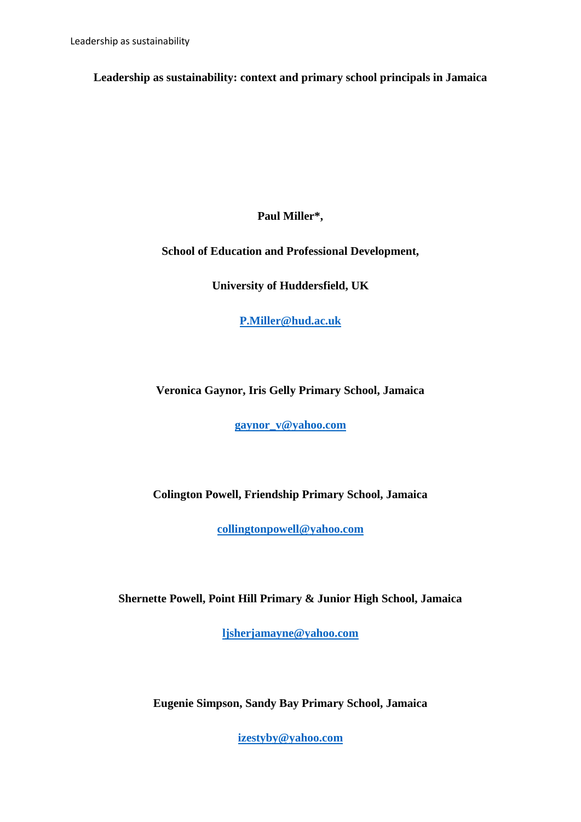**Leadership as sustainability: context and primary school principals in Jamaica** 

**Paul Miller\*,** 

**School of Education and Professional Development,** 

**University of Huddersfield, UK**

**[P.Miller@hud.ac.uk](mailto:P.Miller@hud.ac.uk)**

**Veronica Gaynor, Iris Gelly Primary School, Jamaica**

**[gaynor\\_v@yahoo.com](mailto:gaynor_v@yahoo.com)**

**Colington Powell, Friendship Primary School, Jamaica**

**[collingtonpowell@yahoo.com](mailto:collingtonpowell@yahoo.com)**

**Shernette Powell, Point Hill Primary & Junior High School, Jamaica**

**[ljsherjamayne@yahoo.com](mailto:ljsherjamayne@yahoo.com)**

**Eugenie Simpson, Sandy Bay Primary School, Jamaica** 

**[izestyby@yahoo.com](mailto:izestyby@yahoo.com)**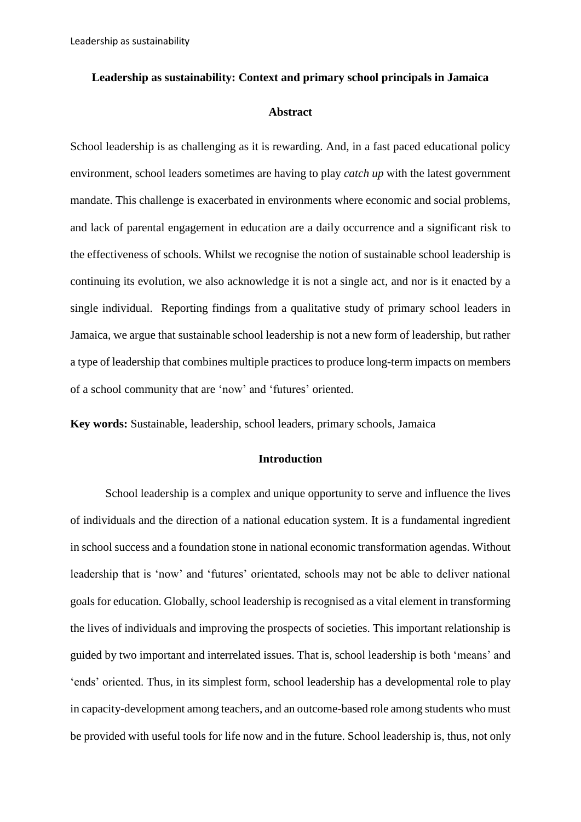#### **Leadership as sustainability: Context and primary school principals in Jamaica**

#### **Abstract**

School leadership is as challenging as it is rewarding. And, in a fast paced educational policy environment, school leaders sometimes are having to play *catch up* with the latest government mandate. This challenge is exacerbated in environments where economic and social problems, and lack of parental engagement in education are a daily occurrence and a significant risk to the effectiveness of schools. Whilst we recognise the notion of sustainable school leadership is continuing its evolution, we also acknowledge it is not a single act, and nor is it enacted by a single individual. Reporting findings from a qualitative study of primary school leaders in Jamaica, we argue that sustainable school leadership is not a new form of leadership, but rather a type of leadership that combines multiple practices to produce long-term impacts on members of a school community that are 'now' and 'futures' oriented.

**Key words:** Sustainable, leadership, school leaders, primary schools, Jamaica

### **Introduction**

School leadership is a complex and unique opportunity to serve and influence the lives of individuals and the direction of a national education system. It is a fundamental ingredient in school success and a foundation stone in national economic transformation agendas. Without leadership that is 'now' and 'futures' orientated, schools may not be able to deliver national goals for education. Globally, school leadership is recognised as a vital element in transforming the lives of individuals and improving the prospects of societies. This important relationship is guided by two important and interrelated issues. That is, school leadership is both 'means' and 'ends' oriented. Thus, in its simplest form, school leadership has a developmental role to play in capacity-development among teachers, and an outcome-based role among students who must be provided with useful tools for life now and in the future. School leadership is, thus, not only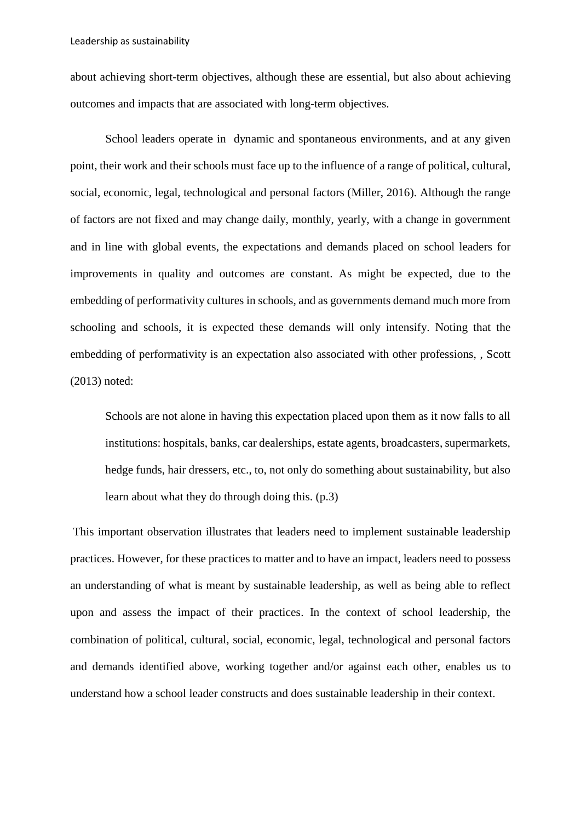about achieving short-term objectives, although these are essential, but also about achieving outcomes and impacts that are associated with long-term objectives.

School leaders operate in dynamic and spontaneous environments, and at any given point, their work and their schools must face up to the influence of a range of political, cultural, social, economic, legal, technological and personal factors (Miller, 2016). Although the range of factors are not fixed and may change daily, monthly, yearly, with a change in government and in line with global events, the expectations and demands placed on school leaders for improvements in quality and outcomes are constant. As might be expected, due to the embedding of performativity cultures in schools, and as governments demand much more from schooling and schools, it is expected these demands will only intensify. Noting that the embedding of performativity is an expectation also associated with other professions, , Scott (2013) noted:

Schools are not alone in having this expectation placed upon them as it now falls to all institutions: hospitals, banks, car dealerships, estate agents, broadcasters, supermarkets, hedge funds, hair dressers, etc., to, not only do something about sustainability, but also learn about what they do through doing this. (p.3)

This important observation illustrates that leaders need to implement sustainable leadership practices. However, for these practices to matter and to have an impact, leaders need to possess an understanding of what is meant by sustainable leadership, as well as being able to reflect upon and assess the impact of their practices. In the context of school leadership, the combination of political, cultural, social, economic, legal, technological and personal factors and demands identified above, working together and/or against each other, enables us to understand how a school leader constructs and does sustainable leadership in their context.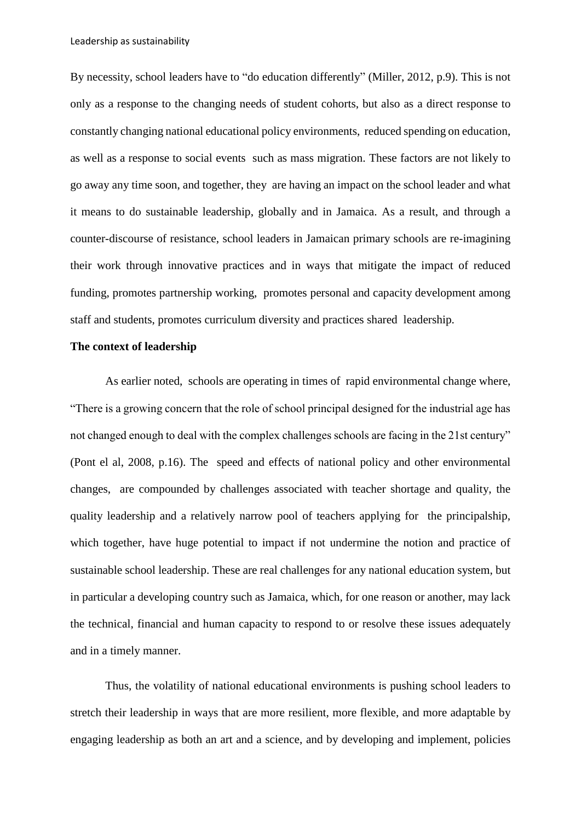Leadership as sustainability

By necessity, school leaders have to "do education differently" (Miller, 2012, p.9). This is not only as a response to the changing needs of student cohorts, but also as a direct response to constantly changing national educational policy environments, reduced spending on education, as well as a response to social events such as mass migration. These factors are not likely to go away any time soon, and together, they are having an impact on the school leader and what it means to do sustainable leadership, globally and in Jamaica. As a result, and through a counter-discourse of resistance, school leaders in Jamaican primary schools are re-imagining their work through innovative practices and in ways that mitigate the impact of reduced funding, promotes partnership working, promotes personal and capacity development among staff and students, promotes curriculum diversity and practices shared leadership.

# **The context of leadership**

As earlier noted, schools are operating in times of rapid environmental change where, "There is a growing concern that the role of school principal designed for the industrial age has not changed enough to deal with the complex challenges schools are facing in the 21st century" (Pont el al, 2008, p.16). The speed and effects of national policy and other environmental changes, are compounded by challenges associated with teacher shortage and quality, the quality leadership and a relatively narrow pool of teachers applying for the principalship, which together, have huge potential to impact if not undermine the notion and practice of sustainable school leadership. These are real challenges for any national education system, but in particular a developing country such as Jamaica, which, for one reason or another, may lack the technical, financial and human capacity to respond to or resolve these issues adequately and in a timely manner.

Thus, the volatility of national educational environments is pushing school leaders to stretch their leadership in ways that are more resilient, more flexible, and more adaptable by engaging leadership as both an art and a science, and by developing and implement, policies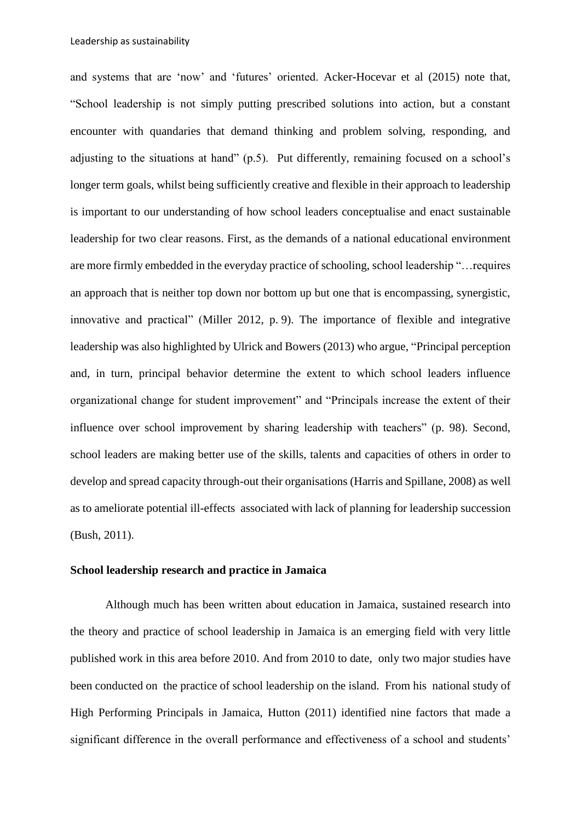and systems that are 'now' and 'futures' oriented. Acker-Hocevar et al (2015) note that, "School leadership is not simply putting prescribed solutions into action, but a constant encounter with quandaries that demand thinking and problem solving, responding, and adjusting to the situations at hand" (p.5). Put differently, remaining focused on a school's longer term goals, whilst being sufficiently creative and flexible in their approach to leadership is important to our understanding of how school leaders conceptualise and enact sustainable leadership for two clear reasons. First, as the demands of a national educational environment are more firmly embedded in the everyday practice of schooling, school leadership "…requires an approach that is neither top down nor bottom up but one that is encompassing, synergistic, innovative and practical" (Miller 2012, p. 9). The importance of flexible and integrative leadership was also highlighted by Ulrick and Bowers (2013) who argue, "Principal perception and, in turn, principal behavior determine the extent to which school leaders influence organizational change for student improvement" and "Principals increase the extent of their influence over school improvement by sharing leadership with teachers" (p. 98). Second, school leaders are making better use of the skills, talents and capacities of others in order to develop and spread capacity through-out their organisations (Harris and Spillane, 2008) as well as to ameliorate potential ill-effects associated with lack of planning for leadership succession (Bush, 2011).

### **School leadership research and practice in Jamaica**

Although much has been written about education in Jamaica, sustained research into the theory and practice of school leadership in Jamaica is an emerging field with very little published work in this area before 2010. And from 2010 to date, only two major studies have been conducted on the practice of school leadership on the island. From his national study of High Performing Principals in Jamaica, Hutton (2011) identified nine factors that made a significant difference in the overall performance and effectiveness of a school and students'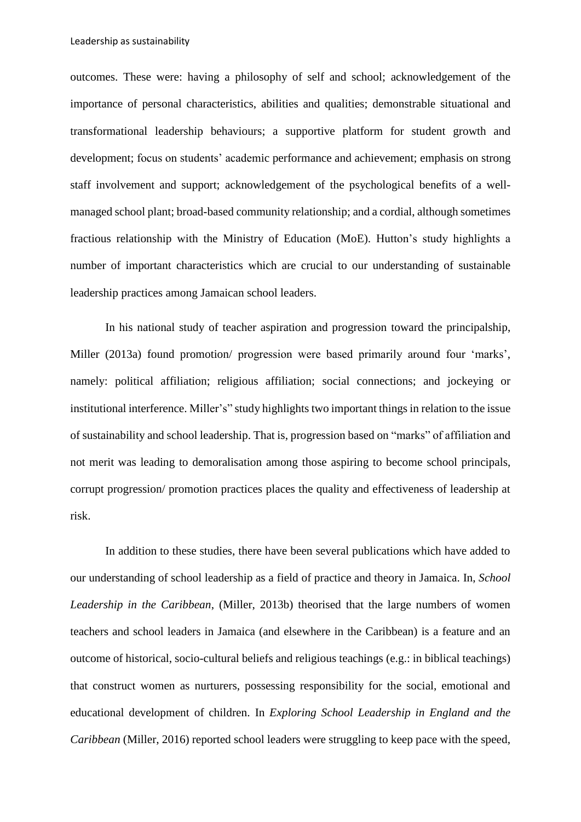outcomes. These were: having a philosophy of self and school; acknowledgement of the importance of personal characteristics, abilities and qualities; demonstrable situational and transformational leadership behaviours; a supportive platform for student growth and development; focus on students' academic performance and achievement; emphasis on strong staff involvement and support; acknowledgement of the psychological benefits of a wellmanaged school plant; broad-based community relationship; and a cordial, although sometimes fractious relationship with the Ministry of Education (MoE). Hutton's study highlights a number of important characteristics which are crucial to our understanding of sustainable leadership practices among Jamaican school leaders.

In his national study of teacher aspiration and progression toward the principalship, Miller (2013a) found promotion/ progression were based primarily around four 'marks', namely: political affiliation; religious affiliation; social connections; and jockeying or institutional interference. Miller's" study highlights two important things in relation to the issue of sustainability and school leadership. That is, progression based on "marks" of affiliation and not merit was leading to demoralisation among those aspiring to become school principals, corrupt progression/ promotion practices places the quality and effectiveness of leadership at risk.

In addition to these studies, there have been several publications which have added to our understanding of school leadership as a field of practice and theory in Jamaica. In, *School Leadership in the Caribbean*, (Miller, 2013b) theorised that the large numbers of women teachers and school leaders in Jamaica (and elsewhere in the Caribbean) is a feature and an outcome of historical, socio-cultural beliefs and religious teachings (e.g.: in biblical teachings) that construct women as nurturers, possessing responsibility for the social, emotional and educational development of children. In *Exploring School Leadership in England and the Caribbean* (Miller, 2016) reported school leaders were struggling to keep pace with the speed,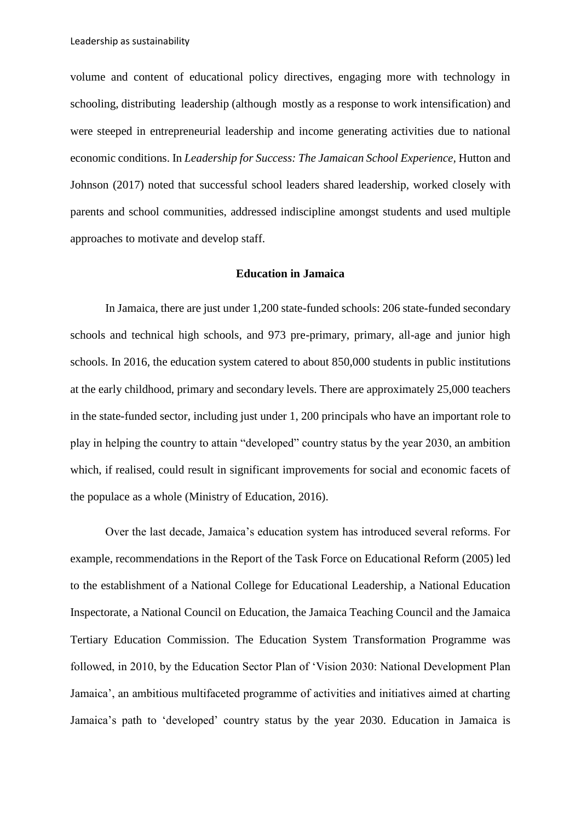volume and content of educational policy directives, engaging more with technology in schooling, distributing leadership (although mostly as a response to work intensification) and were steeped in entrepreneurial leadership and income generating activities due to national economic conditions. In *Leadership for Success: The Jamaican School Experience*, Hutton and Johnson (2017) noted that successful school leaders shared leadership, worked closely with parents and school communities, addressed indiscipline amongst students and used multiple approaches to motivate and develop staff.

### **Education in Jamaica**

In Jamaica, there are just under 1,200 state-funded schools: 206 state-funded secondary schools and technical high schools, and 973 pre-primary, primary, all-age and junior high schools. In 2016, the education system catered to about 850,000 students in public institutions at the early childhood, primary and secondary levels. There are approximately 25,000 teachers in the state-funded sector, including just under 1, 200 principals who have an important role to play in helping the country to attain "developed" country status by the year 2030, an ambition which, if realised, could result in significant improvements for social and economic facets of the populace as a whole (Ministry of Education, 2016).

Over the last decade, Jamaica's education system has introduced several reforms. For example, recommendations in the Report of the Task Force on Educational Reform (2005) led to the establishment of a National College for Educational Leadership, a National Education Inspectorate, a National Council on Education, the Jamaica Teaching Council and the Jamaica Tertiary Education Commission. The Education System Transformation Programme was followed, in 2010, by the Education Sector Plan of 'Vision 2030: National Development Plan Jamaica', an ambitious multifaceted programme of activities and initiatives aimed at charting Jamaica's path to 'developed' country status by the year 2030. Education in Jamaica is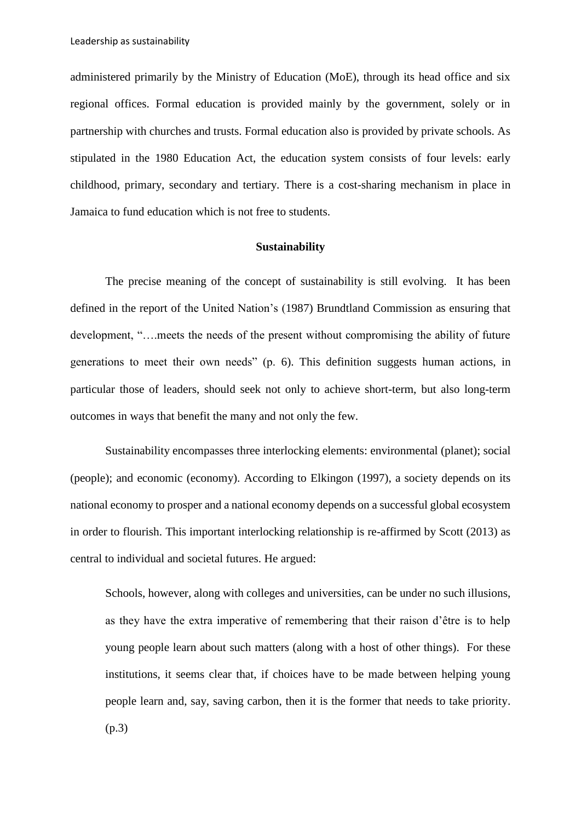administered primarily by the Ministry of Education (MoE), through its head office and six regional offices. Formal education is provided mainly by the government, solely or in partnership with churches and trusts. Formal education also is provided by private schools. As stipulated in the 1980 Education Act, the education system consists of four levels: early childhood, primary, secondary and tertiary. There is a cost-sharing mechanism in place in Jamaica to fund education which is not free to students.

#### **Sustainability**

The precise meaning of the concept of sustainability is still evolving. It has been defined in the report of the United Nation's (1987) Brundtland Commission as ensuring that development, "….meets the needs of the present without compromising the ability of future generations to meet their own needs" (p. 6). This definition suggests human actions, in particular those of leaders, should seek not only to achieve short-term, but also long-term outcomes in ways that benefit the many and not only the few.

Sustainability encompasses three interlocking elements: environmental (planet); social (people); and economic (economy). According to Elkingon (1997), a society depends on its national economy to prosper and a national economy depends on a successful global ecosystem in order to flourish. This important interlocking relationship is re-affirmed by Scott (2013) as central to individual and societal futures. He argued:

Schools, however, along with colleges and universities, can be under no such illusions, as they have the extra imperative of remembering that their raison d'être is to help young people learn about such matters (along with a host of other things). For these institutions, it seems clear that, if choices have to be made between helping young people learn and, say, saving carbon, then it is the former that needs to take priority. (p.3)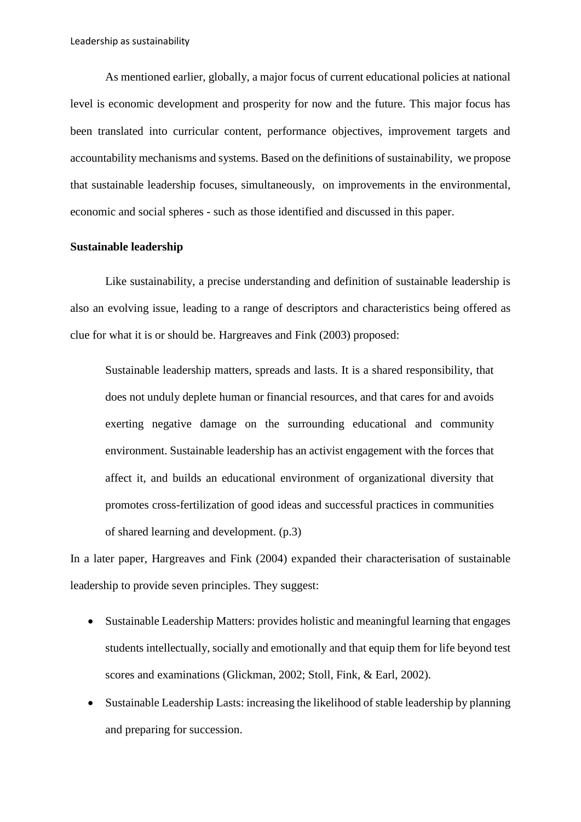As mentioned earlier, globally, a major focus of current educational policies at national level is economic development and prosperity for now and the future. This major focus has been translated into curricular content, performance objectives, improvement targets and accountability mechanisms and systems. Based on the definitions of sustainability, we propose that sustainable leadership focuses, simultaneously, on improvements in the environmental, economic and social spheres - such as those identified and discussed in this paper.

### **Sustainable leadership**

Like sustainability, a precise understanding and definition of sustainable leadership is also an evolving issue, leading to a range of descriptors and characteristics being offered as clue for what it is or should be. Hargreaves and Fink (2003) proposed:

Sustainable leadership matters, spreads and lasts. It is a shared responsibility, that does not unduly deplete human or financial resources, and that cares for and avoids exerting negative damage on the surrounding educational and community environment. Sustainable leadership has an activist engagement with the forces that affect it, and builds an educational environment of organizational diversity that promotes cross-fertilization of good ideas and successful practices in communities of shared learning and development. (p.3)

In a later paper, Hargreaves and Fink (2004) expanded their characterisation of sustainable leadership to provide seven principles. They suggest:

- Sustainable Leadership Matters: provides holistic and meaningful learning that engages students intellectually, socially and emotionally and that equip them for life beyond test scores and examinations (Glickman, 2002; Stoll, Fink, & Earl, 2002).
- Sustainable Leadership Lasts: increasing the likelihood of stable leadership by planning and preparing for succession.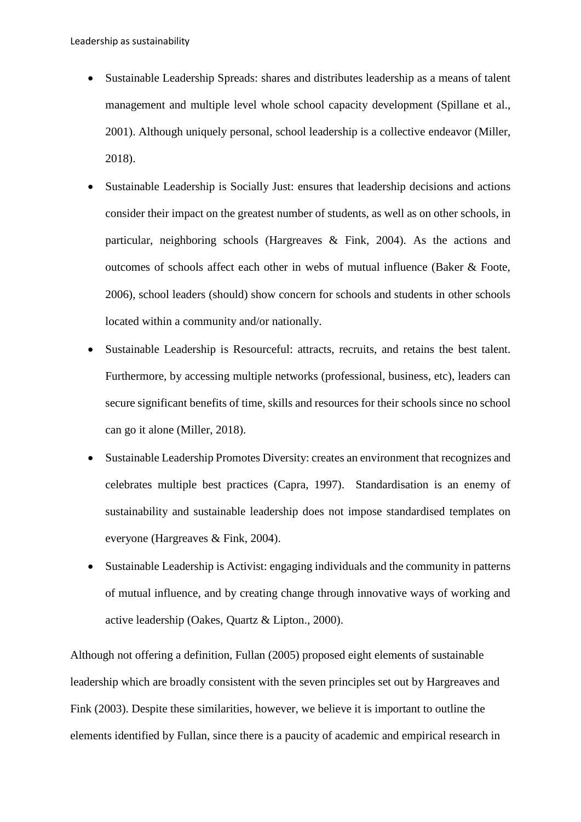- Sustainable Leadership Spreads: shares and distributes leadership as a means of talent management and multiple level whole school capacity development (Spillane et al., 2001). Although uniquely personal, school leadership is a collective endeavor (Miller, 2018).
- Sustainable Leadership is Socially Just: ensures that leadership decisions and actions consider their impact on the greatest number of students, as well as on other schools, in particular, neighboring schools (Hargreaves & Fink, 2004). As the actions and outcomes of schools affect each other in webs of mutual influence (Baker & Foote, 2006), school leaders (should) show concern for schools and students in other schools located within a community and/or nationally.
- Sustainable Leadership is Resourceful: attracts, recruits, and retains the best talent. Furthermore, by accessing multiple networks (professional, business, etc), leaders can secure significant benefits of time, skills and resources for their schools since no school can go it alone (Miller, 2018).
- Sustainable Leadership Promotes Diversity: creates an environment that recognizes and celebrates multiple best practices (Capra, 1997). Standardisation is an enemy of sustainability and sustainable leadership does not impose standardised templates on everyone (Hargreaves & Fink, 2004).
- Sustainable Leadership is Activist: engaging individuals and the community in patterns of mutual influence, and by creating change through innovative ways of working and active leadership (Oakes, Quartz & Lipton., 2000).

Although not offering a definition, Fullan (2005) proposed eight elements of sustainable leadership which are broadly consistent with the seven principles set out by Hargreaves and Fink (2003). Despite these similarities, however, we believe it is important to outline the elements identified by Fullan, since there is a paucity of academic and empirical research in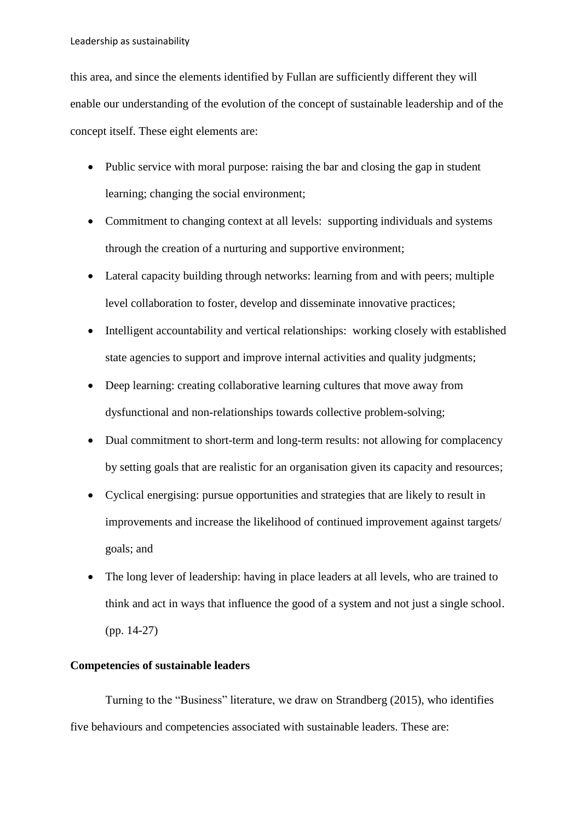this area, and since the elements identified by Fullan are sufficiently different they will enable our understanding of the evolution of the concept of sustainable leadership and of the concept itself. These eight elements are:

- Public service with moral purpose: raising the bar and closing the gap in student learning; changing the social environment;
- Commitment to changing context at all levels: supporting individuals and systems through the creation of a nurturing and supportive environment;
- Lateral capacity building through networks: learning from and with peers; multiple level collaboration to foster, develop and disseminate innovative practices;
- Intelligent accountability and vertical relationships: working closely with established state agencies to support and improve internal activities and quality judgments;
- Deep learning: creating collaborative learning cultures that move away from dysfunctional and non-relationships towards collective problem-solving;
- Dual commitment to short-term and long-term results: not allowing for complacency by setting goals that are realistic for an organisation given its capacity and resources;
- Cyclical energising: pursue opportunities and strategies that are likely to result in improvements and increase the likelihood of continued improvement against targets/ goals; and
- The long lever of leadership: having in place leaders at all levels, who are trained to think and act in ways that influence the good of a system and not just a single school. (pp. 14-27)

# **Competencies of sustainable leaders**

Turning to the "Business" literature, we draw on Strandberg (2015), who identifies five behaviours and competencies associated with sustainable leaders. These are: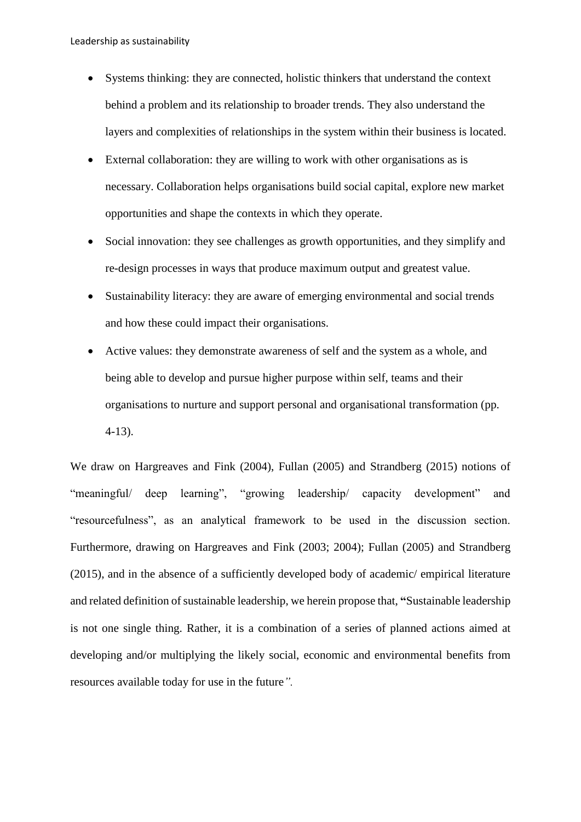- Systems thinking: they are connected, holistic thinkers that understand the context behind a problem and its relationship to broader trends. They also understand the layers and complexities of relationships in the system within their business is located.
- External collaboration: they are willing to work with other organisations as is necessary. Collaboration helps organisations build social capital, explore new market opportunities and shape the contexts in which they operate.
- Social innovation: they see challenges as growth opportunities, and they simplify and re-design processes in ways that produce maximum output and greatest value.
- Sustainability literacy: they are aware of emerging environmental and social trends and how these could impact their organisations.
- Active values: they demonstrate awareness of self and the system as a whole, and being able to develop and pursue higher purpose within self, teams and their organisations to nurture and support personal and organisational transformation (pp. 4-13).

We draw on Hargreaves and Fink (2004), Fullan (2005) and Strandberg (2015) notions of "meaningful/ deep learning", "growing leadership/ capacity development" and "resourcefulness", as an analytical framework to be used in the discussion section. Furthermore, drawing on Hargreaves and Fink (2003; 2004); Fullan (2005) and Strandberg (2015), and in the absence of a sufficiently developed body of academic/ empirical literature and related definition of sustainable leadership, we herein propose that, **"**Sustainable leadership is not one single thing. Rather, it is a combination of a series of planned actions aimed at developing and/or multiplying the likely social, economic and environmental benefits from resources available today for use in the future*".*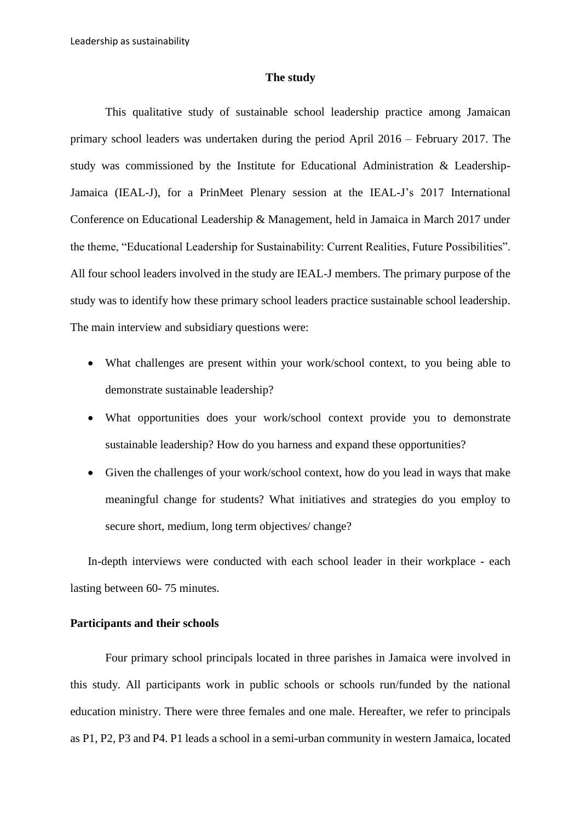### **The study**

This qualitative study of sustainable school leadership practice among Jamaican primary school leaders was undertaken during the period April 2016 – February 2017. The study was commissioned by the Institute for Educational Administration & Leadership-Jamaica (IEAL-J), for a PrinMeet Plenary session at the IEAL-J's 2017 International Conference on Educational Leadership & Management, held in Jamaica in March 2017 under the theme, "Educational Leadership for Sustainability: Current Realities, Future Possibilities". All four school leaders involved in the study are IEAL-J members. The primary purpose of the study was to identify how these primary school leaders practice sustainable school leadership. The main interview and subsidiary questions were:

- What challenges are present within your work/school context, to you being able to demonstrate sustainable leadership?
- What opportunities does your work/school context provide you to demonstrate sustainable leadership? How do you harness and expand these opportunities?
- Given the challenges of your work/school context, how do you lead in ways that make meaningful change for students? What initiatives and strategies do you employ to secure short, medium, long term objectives/ change?

In-depth interviews were conducted with each school leader in their workplace - each lasting between 60- 75 minutes.

## **Participants and their schools**

Four primary school principals located in three parishes in Jamaica were involved in this study. All participants work in public schools or schools run/funded by the national education ministry. There were three females and one male. Hereafter, we refer to principals as P1, P2, P3 and P4. P1 leads a school in a semi-urban community in western Jamaica, located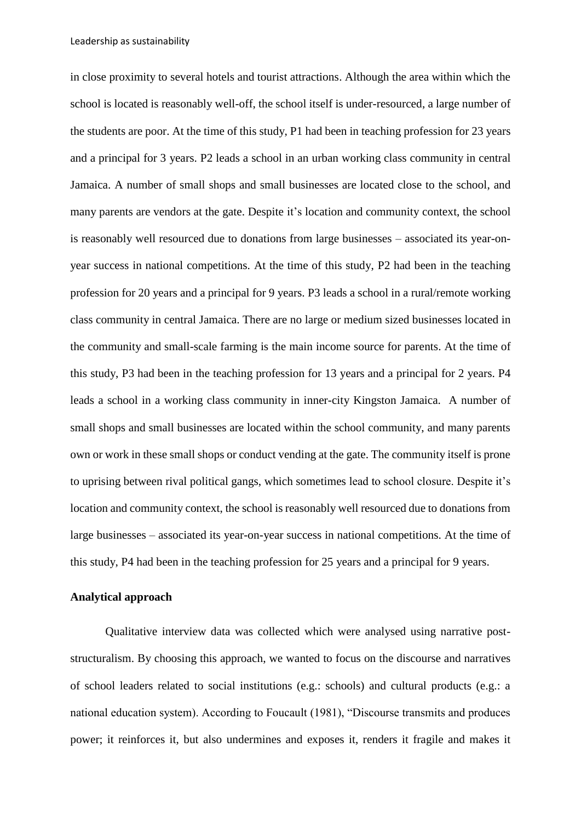in close proximity to several hotels and tourist attractions. Although the area within which the school is located is reasonably well-off, the school itself is under-resourced, a large number of the students are poor. At the time of this study, P1 had been in teaching profession for 23 years and a principal for 3 years. P2 leads a school in an urban working class community in central Jamaica. A number of small shops and small businesses are located close to the school, and many parents are vendors at the gate. Despite it's location and community context, the school is reasonably well resourced due to donations from large businesses – associated its year-onyear success in national competitions. At the time of this study, P2 had been in the teaching profession for 20 years and a principal for 9 years. P3 leads a school in a rural/remote working class community in central Jamaica. There are no large or medium sized businesses located in the community and small-scale farming is the main income source for parents. At the time of this study, P3 had been in the teaching profession for 13 years and a principal for 2 years. P4 leads a school in a working class community in inner-city Kingston Jamaica. A number of small shops and small businesses are located within the school community, and many parents own or work in these small shops or conduct vending at the gate. The community itself is prone to uprising between rival political gangs, which sometimes lead to school closure. Despite it's location and community context, the school is reasonably well resourced due to donations from large businesses – associated its year-on-year success in national competitions. At the time of this study, P4 had been in the teaching profession for 25 years and a principal for 9 years.

### **Analytical approach**

Qualitative interview data was collected which were analysed using narrative poststructuralism. By choosing this approach, we wanted to focus on the discourse and narratives of school leaders related to social institutions (e.g.: schools) and cultural products (e.g.: a national education system). According to Foucault (1981), "Discourse transmits and produces power; it reinforces it, but also undermines and exposes it, renders it fragile and makes it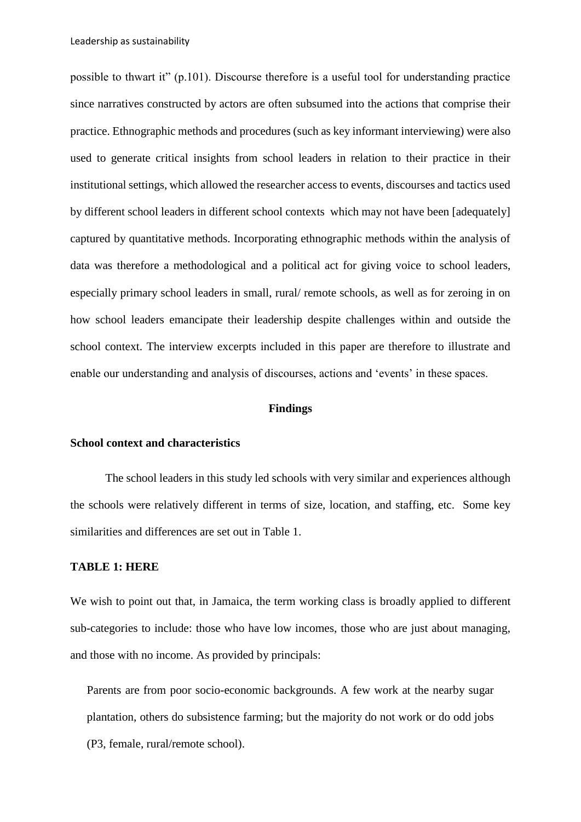possible to thwart it" (p.101). Discourse therefore is a useful tool for understanding practice since narratives constructed by actors are often subsumed into the actions that comprise their practice. Ethnographic methods and procedures (such as key informant interviewing) were also used to generate critical insights from school leaders in relation to their practice in their institutional settings, which allowed the researcher access to events, discourses and tactics used by different school leaders in different school contexts which may not have been [adequately] captured by quantitative methods. Incorporating ethnographic methods within the analysis of data was therefore a methodological and a political act for giving voice to school leaders, especially primary school leaders in small, rural/ remote schools, as well as for zeroing in on how school leaders emancipate their leadership despite challenges within and outside the school context. The interview excerpts included in this paper are therefore to illustrate and enable our understanding and analysis of discourses, actions and 'events' in these spaces.

#### **Findings**

# **School context and characteristics**

The school leaders in this study led schools with very similar and experiences although the schools were relatively different in terms of size, location, and staffing, etc. Some key similarities and differences are set out in Table 1.

### **TABLE 1: HERE**

We wish to point out that, in Jamaica, the term working class is broadly applied to different sub-categories to include: those who have low incomes, those who are just about managing, and those with no income. As provided by principals:

Parents are from poor socio-economic backgrounds. A few work at the nearby sugar plantation, others do subsistence farming; but the majority do not work or do odd jobs (P3, female, rural/remote school).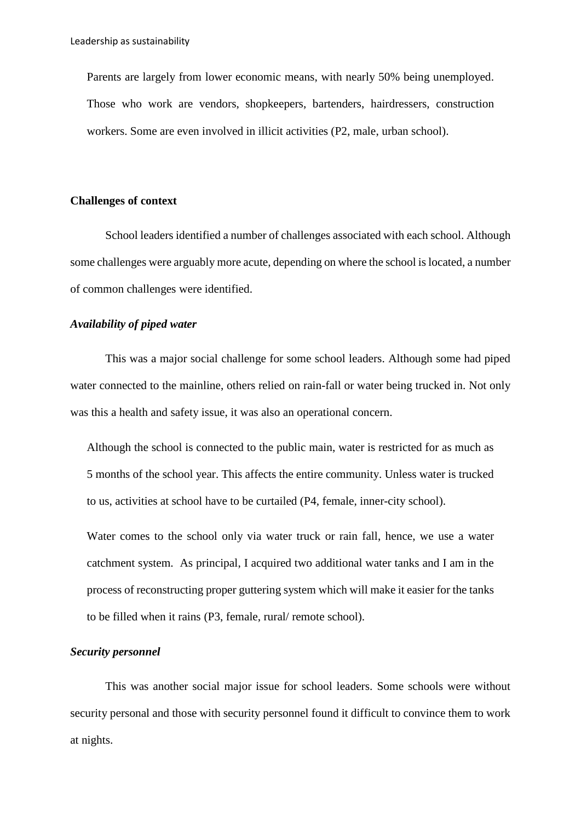Parents are largely from lower economic means, with nearly 50% being unemployed. Those who work are vendors, shopkeepers, bartenders, hairdressers, construction workers. Some are even involved in illicit activities (P2, male, urban school).

### **Challenges of context**

School leaders identified a number of challenges associated with each school. Although some challenges were arguably more acute, depending on where the school is located, a number of common challenges were identified.

## *Availability of piped water*

This was a major social challenge for some school leaders. Although some had piped water connected to the mainline, others relied on rain-fall or water being trucked in. Not only was this a health and safety issue, it was also an operational concern.

Although the school is connected to the public main, water is restricted for as much as 5 months of the school year. This affects the entire community. Unless water is trucked to us, activities at school have to be curtailed (P4, female, inner-city school).

Water comes to the school only via water truck or rain fall, hence, we use a water catchment system. As principal, I acquired two additional water tanks and I am in the process of reconstructing proper guttering system which will make it easier for the tanks to be filled when it rains (P3, female, rural/ remote school).

### *Security personnel*

This was another social major issue for school leaders. Some schools were without security personal and those with security personnel found it difficult to convince them to work at nights.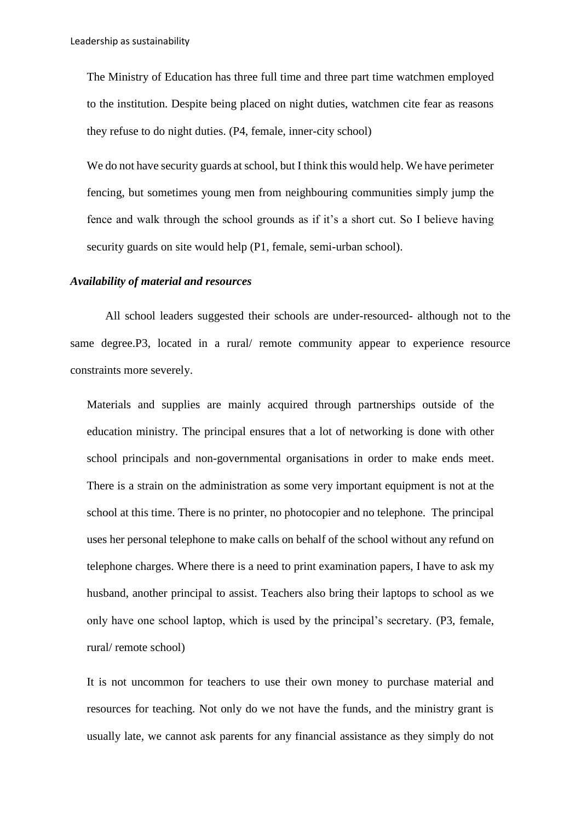The Ministry of Education has three full time and three part time watchmen employed to the institution. Despite being placed on night duties, watchmen cite fear as reasons they refuse to do night duties. (P4, female, inner-city school)

We do not have security guards at school, but I think this would help. We have perimeter fencing, but sometimes young men from neighbouring communities simply jump the fence and walk through the school grounds as if it's a short cut. So I believe having security guards on site would help (P1, female, semi-urban school).

#### *Availability of material and resources*

All school leaders suggested their schools are under-resourced- although not to the same degree.P3, located in a rural/ remote community appear to experience resource constraints more severely.

Materials and supplies are mainly acquired through partnerships outside of the education ministry. The principal ensures that a lot of networking is done with other school principals and non-governmental organisations in order to make ends meet. There is a strain on the administration as some very important equipment is not at the school at this time. There is no printer, no photocopier and no telephone. The principal uses her personal telephone to make calls on behalf of the school without any refund on telephone charges. Where there is a need to print examination papers, I have to ask my husband, another principal to assist. Teachers also bring their laptops to school as we only have one school laptop, which is used by the principal's secretary. (P3, female, rural/ remote school)

It is not uncommon for teachers to use their own money to purchase material and resources for teaching. Not only do we not have the funds, and the ministry grant is usually late, we cannot ask parents for any financial assistance as they simply do not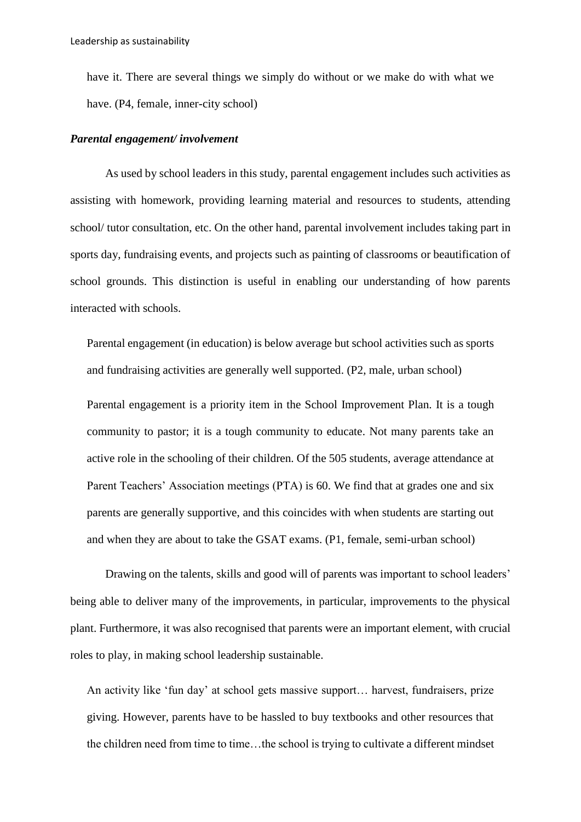have it. There are several things we simply do without or we make do with what we have. (P4, female, inner-city school)

# *Parental engagement/ involvement*

As used by school leaders in this study, parental engagement includes such activities as assisting with homework, providing learning material and resources to students, attending school/ tutor consultation, etc. On the other hand, parental involvement includes taking part in sports day, fundraising events, and projects such as painting of classrooms or beautification of school grounds. This distinction is useful in enabling our understanding of how parents interacted with schools.

Parental engagement (in education) is below average but school activities such as sports and fundraising activities are generally well supported. (P2, male, urban school)

Parental engagement is a priority item in the School Improvement Plan. It is a tough community to pastor; it is a tough community to educate. Not many parents take an active role in the schooling of their children. Of the 505 students, average attendance at Parent Teachers' Association meetings (PTA) is 60. We find that at grades one and six parents are generally supportive, and this coincides with when students are starting out and when they are about to take the GSAT exams. (P1, female, semi-urban school)

Drawing on the talents, skills and good will of parents was important to school leaders' being able to deliver many of the improvements, in particular, improvements to the physical plant. Furthermore, it was also recognised that parents were an important element, with crucial roles to play, in making school leadership sustainable.

An activity like 'fun day' at school gets massive support… harvest, fundraisers, prize giving. However, parents have to be hassled to buy textbooks and other resources that the children need from time to time…the school is trying to cultivate a different mindset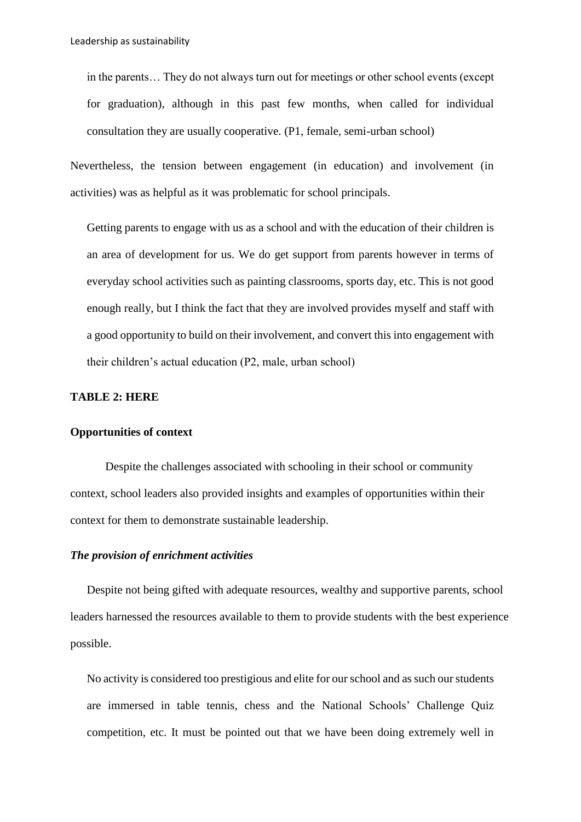in the parents… They do not always turn out for meetings or other school events (except for graduation), although in this past few months, when called for individual consultation they are usually cooperative. (P1, female, semi-urban school)

Nevertheless, the tension between engagement (in education) and involvement (in activities) was as helpful as it was problematic for school principals.

Getting parents to engage with us as a school and with the education of their children is an area of development for us. We do get support from parents however in terms of everyday school activities such as painting classrooms, sports day, etc. This is not good enough really, but I think the fact that they are involved provides myself and staff with a good opportunity to build on their involvement, and convert this into engagement with their children's actual education (P2, male, urban school)

### **TABLE 2: HERE**

### **Opportunities of context**

Despite the challenges associated with schooling in their school or community context, school leaders also provided insights and examples of opportunities within their context for them to demonstrate sustainable leadership.

# *The provision of enrichment activities*

Despite not being gifted with adequate resources, wealthy and supportive parents, school leaders harnessed the resources available to them to provide students with the best experience possible.

No activity is considered too prestigious and elite for our school and as such our students are immersed in table tennis, chess and the National Schools' Challenge Quiz competition, etc. It must be pointed out that we have been doing extremely well in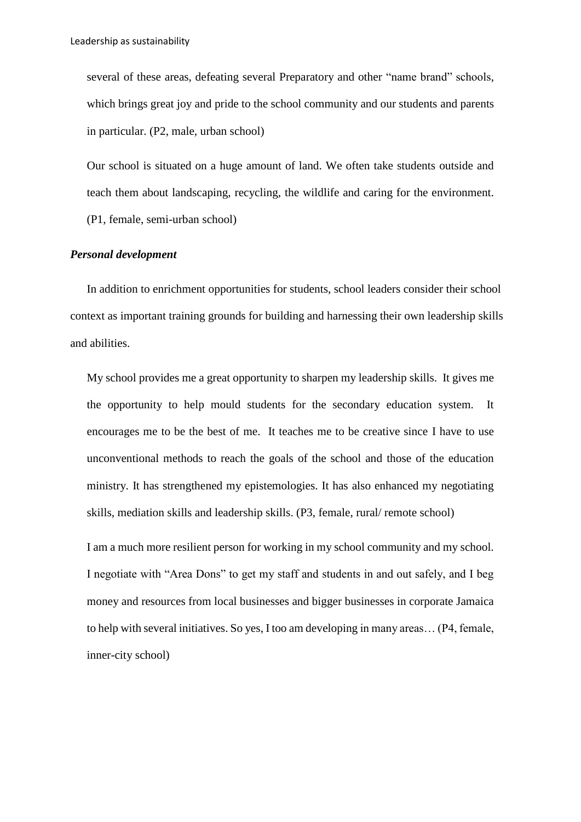several of these areas, defeating several Preparatory and other "name brand" schools, which brings great joy and pride to the school community and our students and parents in particular. (P2, male, urban school)

Our school is situated on a huge amount of land. We often take students outside and teach them about landscaping, recycling, the wildlife and caring for the environment. (P1, female, semi-urban school)

# *Personal development*

In addition to enrichment opportunities for students, school leaders consider their school context as important training grounds for building and harnessing their own leadership skills and abilities.

My school provides me a great opportunity to sharpen my leadership skills. It gives me the opportunity to help mould students for the secondary education system. It encourages me to be the best of me. It teaches me to be creative since I have to use unconventional methods to reach the goals of the school and those of the education ministry. It has strengthened my epistemologies. It has also enhanced my negotiating skills, mediation skills and leadership skills. (P3, female, rural/ remote school)

I am a much more resilient person for working in my school community and my school. I negotiate with "Area Dons" to get my staff and students in and out safely, and I beg money and resources from local businesses and bigger businesses in corporate Jamaica to help with several initiatives. So yes, I too am developing in many areas… (P4, female, inner-city school)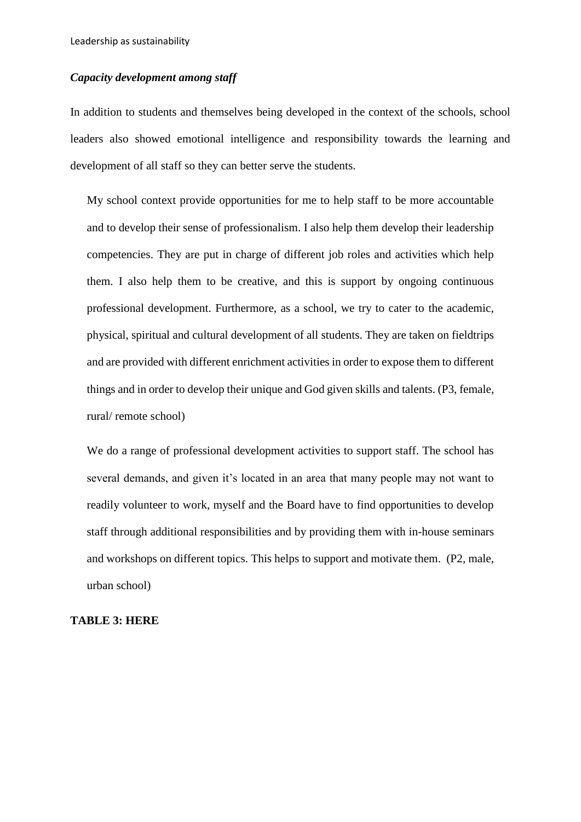Leadership as sustainability

# *Capacity development among staff*

In addition to students and themselves being developed in the context of the schools, school leaders also showed emotional intelligence and responsibility towards the learning and development of all staff so they can better serve the students.

My school context provide opportunities for me to help staff to be more accountable and to develop their sense of professionalism. I also help them develop their leadership competencies. They are put in charge of different job roles and activities which help them. I also help them to be creative, and this is support by ongoing continuous professional development. Furthermore, as a school, we try to cater to the academic, physical, spiritual and cultural development of all students. They are taken on fieldtrips and are provided with different enrichment activities in order to expose them to different things and in order to develop their unique and God given skills and talents. (P3, female, rural/ remote school)

We do a range of professional development activities to support staff. The school has several demands, and given it's located in an area that many people may not want to readily volunteer to work, myself and the Board have to find opportunities to develop staff through additional responsibilities and by providing them with in-house seminars and workshops on different topics. This helps to support and motivate them. (P2, male, urban school)

#### **TABLE 3: HERE**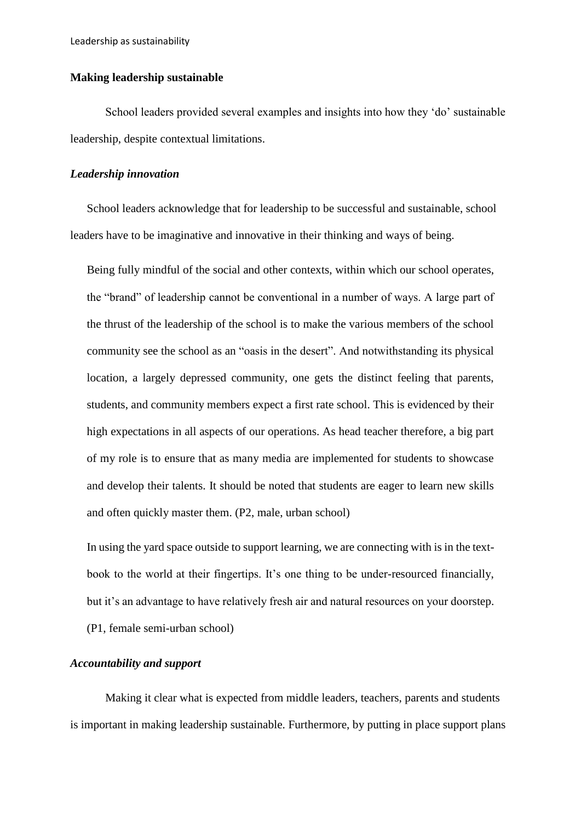### **Making leadership sustainable**

School leaders provided several examples and insights into how they 'do' sustainable leadership, despite contextual limitations.

### *Leadership innovation*

School leaders acknowledge that for leadership to be successful and sustainable, school leaders have to be imaginative and innovative in their thinking and ways of being.

Being fully mindful of the social and other contexts, within which our school operates, the "brand" of leadership cannot be conventional in a number of ways. A large part of the thrust of the leadership of the school is to make the various members of the school community see the school as an "oasis in the desert". And notwithstanding its physical location, a largely depressed community, one gets the distinct feeling that parents, students, and community members expect a first rate school. This is evidenced by their high expectations in all aspects of our operations. As head teacher therefore, a big part of my role is to ensure that as many media are implemented for students to showcase and develop their talents. It should be noted that students are eager to learn new skills and often quickly master them. (P2, male, urban school)

In using the yard space outside to support learning, we are connecting with is in the textbook to the world at their fingertips. It's one thing to be under-resourced financially, but it's an advantage to have relatively fresh air and natural resources on your doorstep. (P1, female semi-urban school)

# *Accountability and support*

Making it clear what is expected from middle leaders, teachers, parents and students is important in making leadership sustainable. Furthermore, by putting in place support plans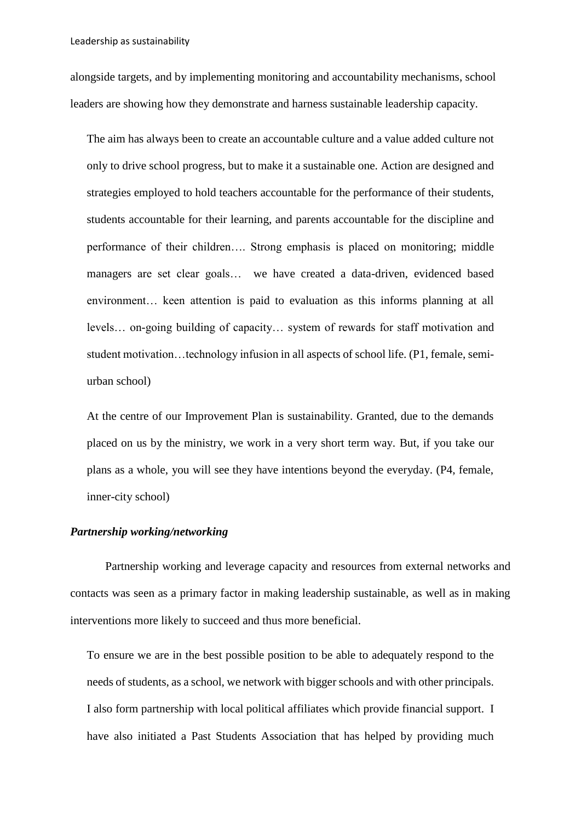alongside targets, and by implementing monitoring and accountability mechanisms, school leaders are showing how they demonstrate and harness sustainable leadership capacity.

The aim has always been to create an accountable culture and a value added culture not only to drive school progress, but to make it a sustainable one. Action are designed and strategies employed to hold teachers accountable for the performance of their students, students accountable for their learning, and parents accountable for the discipline and performance of their children…. Strong emphasis is placed on monitoring; middle managers are set clear goals… we have created a data-driven, evidenced based environment… keen attention is paid to evaluation as this informs planning at all levels… on-going building of capacity… system of rewards for staff motivation and student motivation…technology infusion in all aspects of school life. (P1, female, semiurban school)

At the centre of our Improvement Plan is sustainability. Granted, due to the demands placed on us by the ministry, we work in a very short term way. But, if you take our plans as a whole, you will see they have intentions beyond the everyday. (P4, female, inner-city school)

### *Partnership working/networking*

Partnership working and leverage capacity and resources from external networks and contacts was seen as a primary factor in making leadership sustainable, as well as in making interventions more likely to succeed and thus more beneficial.

To ensure we are in the best possible position to be able to adequately respond to the needs of students, as a school, we network with bigger schools and with other principals. I also form partnership with local political affiliates which provide financial support. I have also initiated a Past Students Association that has helped by providing much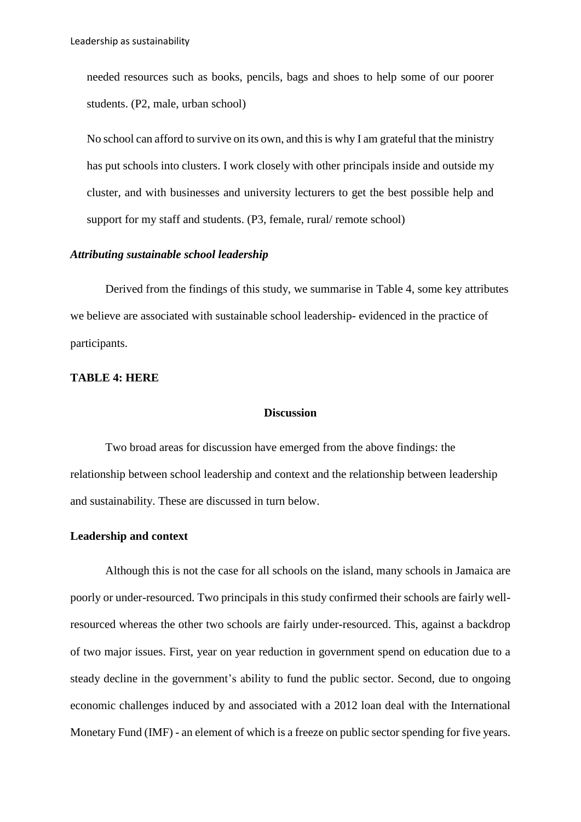needed resources such as books, pencils, bags and shoes to help some of our poorer students. (P2, male, urban school)

No school can afford to survive on its own, and this is why I am grateful that the ministry has put schools into clusters. I work closely with other principals inside and outside my cluster, and with businesses and university lecturers to get the best possible help and support for my staff and students. (P3, female, rural/ remote school)

# *Attributing sustainable school leadership*

Derived from the findings of this study, we summarise in Table 4, some key attributes we believe are associated with sustainable school leadership- evidenced in the practice of participants.

### **TABLE 4: HERE**

## **Discussion**

Two broad areas for discussion have emerged from the above findings: the relationship between school leadership and context and the relationship between leadership and sustainability. These are discussed in turn below.

## **Leadership and context**

Although this is not the case for all schools on the island, many schools in Jamaica are poorly or under-resourced. Two principals in this study confirmed their schools are fairly wellresourced whereas the other two schools are fairly under-resourced. This, against a backdrop of two major issues. First, year on year reduction in government spend on education due to a steady decline in the government's ability to fund the public sector. Second, due to ongoing economic challenges induced by and associated with a 2012 loan deal with the International Monetary Fund (IMF) - an element of which is a freeze on public sector spending for five years.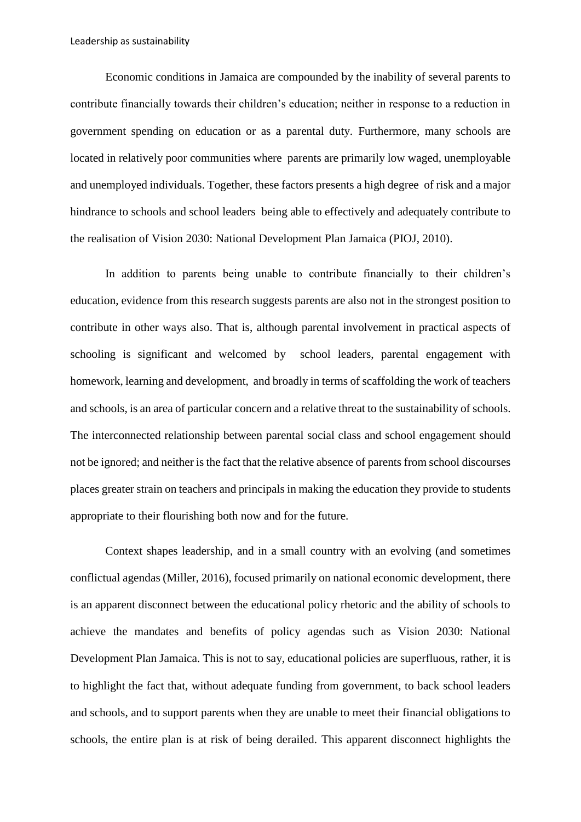Economic conditions in Jamaica are compounded by the inability of several parents to contribute financially towards their children's education; neither in response to a reduction in government spending on education or as a parental duty. Furthermore, many schools are located in relatively poor communities where parents are primarily low waged, unemployable and unemployed individuals. Together, these factors presents a high degree of risk and a major hindrance to schools and school leaders being able to effectively and adequately contribute to the realisation of Vision 2030: National Development Plan Jamaica (PIOJ, 2010).

In addition to parents being unable to contribute financially to their children's education, evidence from this research suggests parents are also not in the strongest position to contribute in other ways also. That is, although parental involvement in practical aspects of schooling is significant and welcomed by school leaders, parental engagement with homework, learning and development, and broadly in terms of scaffolding the work of teachers and schools, is an area of particular concern and a relative threat to the sustainability of schools. The interconnected relationship between parental social class and school engagement should not be ignored; and neither is the fact that the relative absence of parents from school discourses places greater strain on teachers and principals in making the education they provide to students appropriate to their flourishing both now and for the future.

Context shapes leadership, and in a small country with an evolving (and sometimes conflictual agendas (Miller, 2016), focused primarily on national economic development, there is an apparent disconnect between the educational policy rhetoric and the ability of schools to achieve the mandates and benefits of policy agendas such as Vision 2030: National Development Plan Jamaica. This is not to say, educational policies are superfluous, rather, it is to highlight the fact that, without adequate funding from government, to back school leaders and schools, and to support parents when they are unable to meet their financial obligations to schools, the entire plan is at risk of being derailed. This apparent disconnect highlights the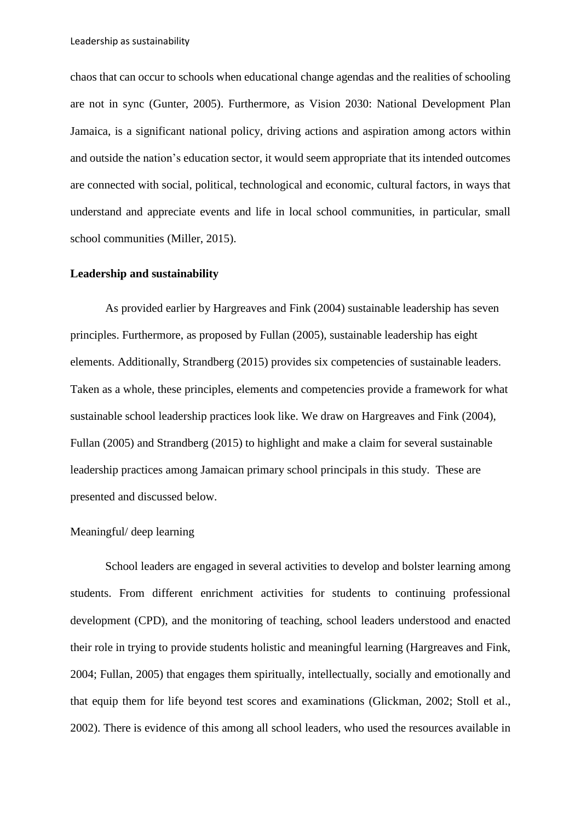chaos that can occur to schools when educational change agendas and the realities of schooling are not in sync (Gunter, 2005). Furthermore, as Vision 2030: National Development Plan Jamaica, is a significant national policy, driving actions and aspiration among actors within and outside the nation's education sector, it would seem appropriate that its intended outcomes are connected with social, political, technological and economic, cultural factors, in ways that understand and appreciate events and life in local school communities, in particular, small school communities (Miller, 2015).

## **Leadership and sustainability**

As provided earlier by Hargreaves and Fink (2004) sustainable leadership has seven principles. Furthermore, as proposed by Fullan (2005), sustainable leadership has eight elements. Additionally, Strandberg (2015) provides six competencies of sustainable leaders. Taken as a whole, these principles, elements and competencies provide a framework for what sustainable school leadership practices look like. We draw on Hargreaves and Fink (2004), Fullan (2005) and Strandberg (2015) to highlight and make a claim for several sustainable leadership practices among Jamaican primary school principals in this study. These are presented and discussed below.

# Meaningful/ deep learning

School leaders are engaged in several activities to develop and bolster learning among students. From different enrichment activities for students to continuing professional development (CPD), and the monitoring of teaching, school leaders understood and enacted their role in trying to provide students holistic and meaningful learning (Hargreaves and Fink, 2004; Fullan, 2005) that engages them spiritually, intellectually, socially and emotionally and that equip them for life beyond test scores and examinations (Glickman, 2002; Stoll et al., 2002). There is evidence of this among all school leaders, who used the resources available in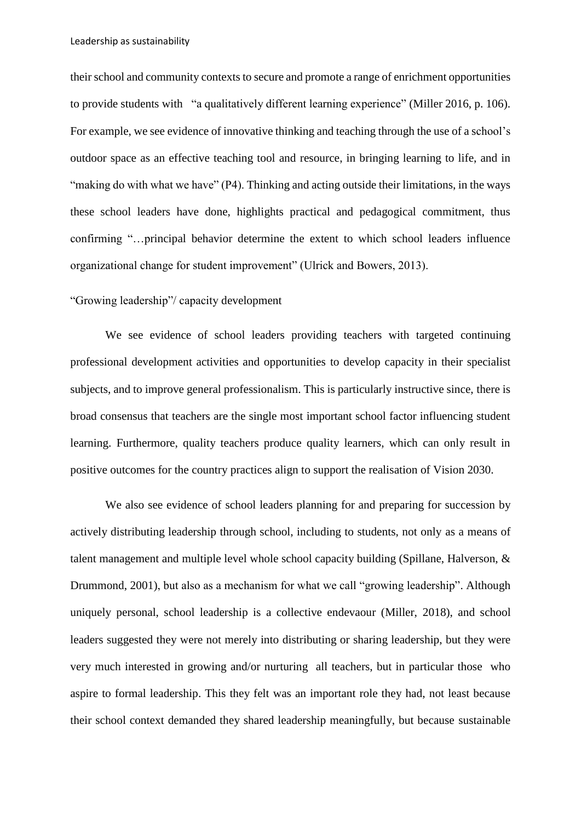their school and community contexts to secure and promote a range of enrichment opportunities to provide students with "a qualitatively different learning experience" (Miller 2016, p. 106). For example, we see evidence of innovative thinking and teaching through the use of a school's outdoor space as an effective teaching tool and resource, in bringing learning to life, and in "making do with what we have" (P4). Thinking and acting outside their limitations, in the ways these school leaders have done, highlights practical and pedagogical commitment, thus confirming "…principal behavior determine the extent to which school leaders influence organizational change for student improvement" (Ulrick and Bowers, 2013).

# "Growing leadership"/ capacity development

We see evidence of school leaders providing teachers with targeted continuing professional development activities and opportunities to develop capacity in their specialist subjects, and to improve general professionalism. This is particularly instructive since, there is broad consensus that teachers are the single most important school factor influencing student learning. Furthermore, quality teachers produce quality learners, which can only result in positive outcomes for the country practices align to support the realisation of Vision 2030.

We also see evidence of school leaders planning for and preparing for succession by actively distributing leadership through school, including to students, not only as a means of talent management and multiple level whole school capacity building (Spillane, Halverson, & Drummond, 2001), but also as a mechanism for what we call "growing leadership". Although uniquely personal, school leadership is a collective endevaour (Miller, 2018), and school leaders suggested they were not merely into distributing or sharing leadership, but they were very much interested in growing and/or nurturing all teachers, but in particular those who aspire to formal leadership. This they felt was an important role they had, not least because their school context demanded they shared leadership meaningfully, but because sustainable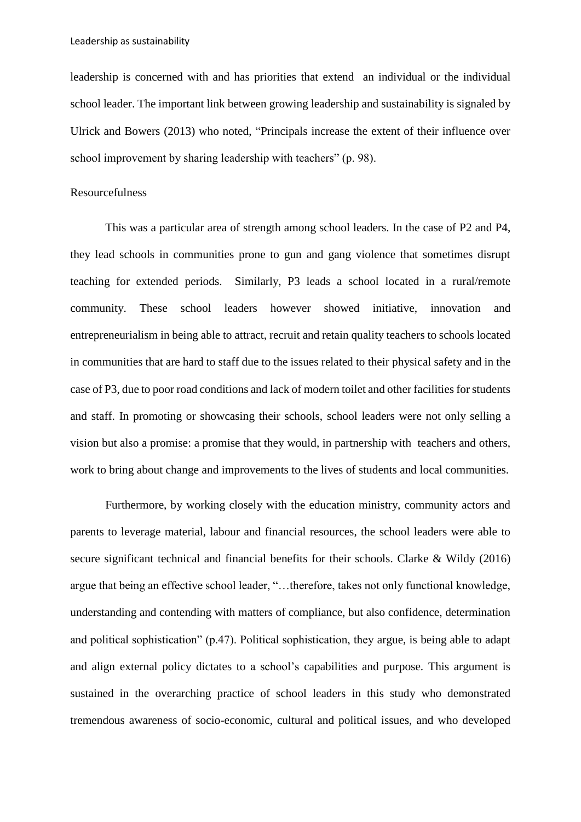leadership is concerned with and has priorities that extend an individual or the individual school leader. The important link between growing leadership and sustainability is signaled by Ulrick and Bowers (2013) who noted, "Principals increase the extent of their influence over school improvement by sharing leadership with teachers" (p. 98).

## Resourcefulness

This was a particular area of strength among school leaders. In the case of P2 and P4, they lead schools in communities prone to gun and gang violence that sometimes disrupt teaching for extended periods. Similarly, P3 leads a school located in a rural/remote community. These school leaders however showed initiative, innovation and entrepreneurialism in being able to attract, recruit and retain quality teachers to schools located in communities that are hard to staff due to the issues related to their physical safety and in the case of P3, due to poor road conditions and lack of modern toilet and other facilities for students and staff. In promoting or showcasing their schools, school leaders were not only selling a vision but also a promise: a promise that they would, in partnership with teachers and others, work to bring about change and improvements to the lives of students and local communities.

Furthermore, by working closely with the education ministry, community actors and parents to leverage material, labour and financial resources, the school leaders were able to secure significant technical and financial benefits for their schools. Clarke & Wildy (2016) argue that being an effective school leader, "…therefore, takes not only functional knowledge, understanding and contending with matters of compliance, but also confidence, determination and political sophistication" (p.47). Political sophistication, they argue, is being able to adapt and align external policy dictates to a school's capabilities and purpose. This argument is sustained in the overarching practice of school leaders in this study who demonstrated tremendous awareness of socio-economic, cultural and political issues, and who developed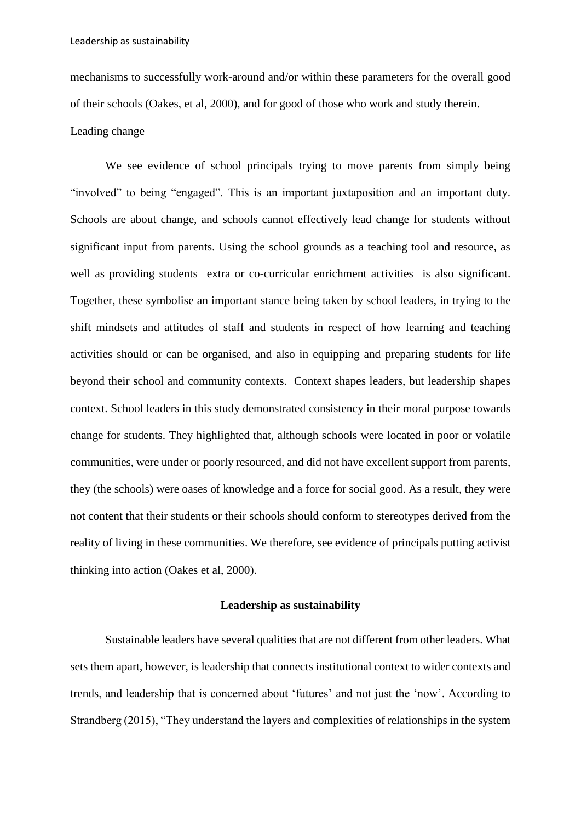mechanisms to successfully work-around and/or within these parameters for the overall good of their schools (Oakes, et al, 2000), and for good of those who work and study therein.

### Leading change

We see evidence of school principals trying to move parents from simply being "involved" to being "engaged". This is an important juxtaposition and an important duty. Schools are about change, and schools cannot effectively lead change for students without significant input from parents. Using the school grounds as a teaching tool and resource, as well as providing students extra or co-curricular enrichment activities is also significant. Together, these symbolise an important stance being taken by school leaders, in trying to the shift mindsets and attitudes of staff and students in respect of how learning and teaching activities should or can be organised, and also in equipping and preparing students for life beyond their school and community contexts. Context shapes leaders, but leadership shapes context. School leaders in this study demonstrated consistency in their moral purpose towards change for students. They highlighted that, although schools were located in poor or volatile communities, were under or poorly resourced, and did not have excellent support from parents, they (the schools) were oases of knowledge and a force for social good. As a result, they were not content that their students or their schools should conform to stereotypes derived from the reality of living in these communities. We therefore, see evidence of principals putting activist thinking into action (Oakes et al, 2000).

# **Leadership as sustainability**

Sustainable leaders have several qualities that are not different from other leaders. What sets them apart, however, is leadership that connects institutional context to wider contexts and trends, and leadership that is concerned about 'futures' and not just the 'now'. According to Strandberg (2015), "They understand the layers and complexities of relationships in the system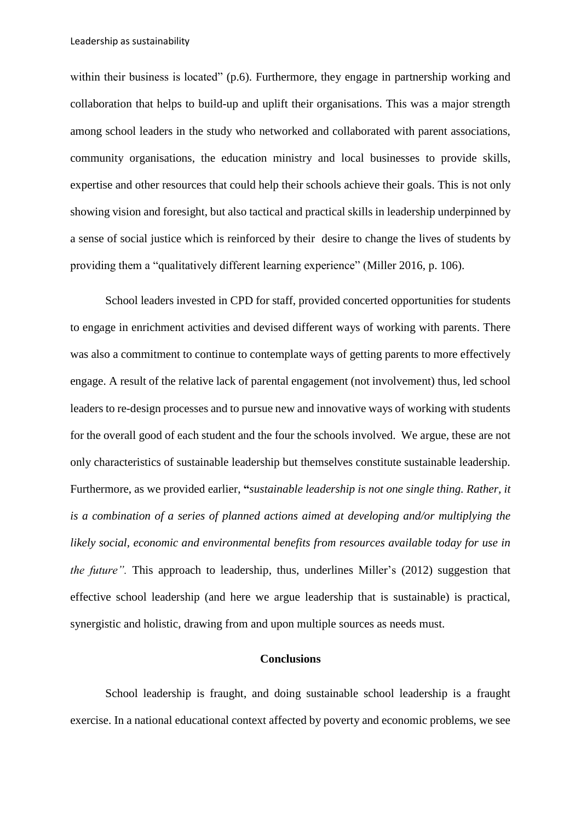within their business is located" (p.6). Furthermore, they engage in partnership working and collaboration that helps to build-up and uplift their organisations. This was a major strength among school leaders in the study who networked and collaborated with parent associations, community organisations, the education ministry and local businesses to provide skills, expertise and other resources that could help their schools achieve their goals. This is not only showing vision and foresight, but also tactical and practical skills in leadership underpinned by a sense of social justice which is reinforced by their desire to change the lives of students by providing them a "qualitatively different learning experience" (Miller 2016, p. 106).

School leaders invested in CPD for staff, provided concerted opportunities for students to engage in enrichment activities and devised different ways of working with parents. There was also a commitment to continue to contemplate ways of getting parents to more effectively engage. A result of the relative lack of parental engagement (not involvement) thus, led school leaders to re-design processes and to pursue new and innovative ways of working with students for the overall good of each student and the four the schools involved. We argue, these are not only characteristics of sustainable leadership but themselves constitute sustainable leadership. Furthermore, as we provided earlier, **"***sustainable leadership is not one single thing. Rather, it is a combination of a series of planned actions aimed at developing and/or multiplying the likely social, economic and environmental benefits from resources available today for use in the future"*. This approach to leadership, thus, underlines Miller's (2012) suggestion that effective school leadership (and here we argue leadership that is sustainable) is practical, synergistic and holistic, drawing from and upon multiple sources as needs must.

# **Conclusions**

School leadership is fraught, and doing sustainable school leadership is a fraught exercise. In a national educational context affected by poverty and economic problems, we see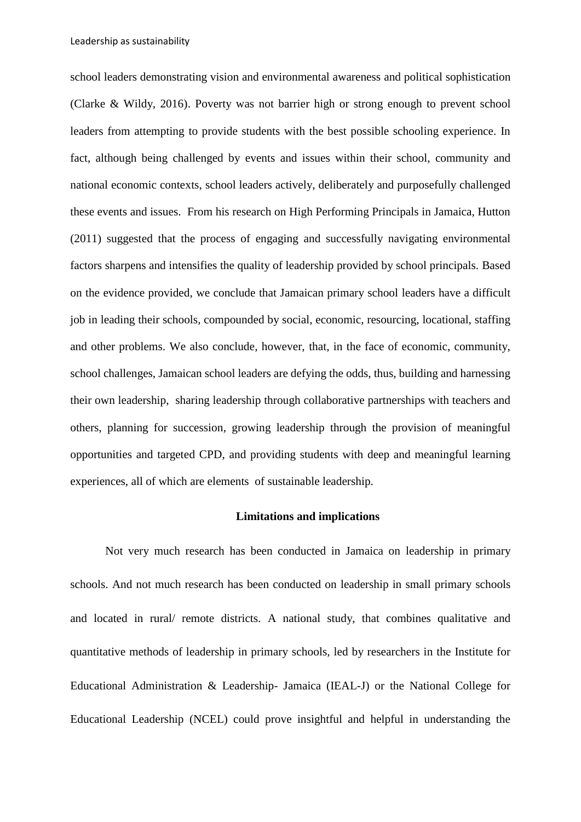school leaders demonstrating vision and environmental awareness and political sophistication (Clarke & Wildy, 2016). Poverty was not barrier high or strong enough to prevent school leaders from attempting to provide students with the best possible schooling experience. In fact, although being challenged by events and issues within their school, community and national economic contexts, school leaders actively, deliberately and purposefully challenged these events and issues. From his research on High Performing Principals in Jamaica, Hutton (2011) suggested that the process of engaging and successfully navigating environmental factors sharpens and intensifies the quality of leadership provided by school principals. Based on the evidence provided, we conclude that Jamaican primary school leaders have a difficult job in leading their schools, compounded by social, economic, resourcing, locational, staffing and other problems. We also conclude, however, that, in the face of economic, community, school challenges, Jamaican school leaders are defying the odds, thus, building and harnessing their own leadership, sharing leadership through collaborative partnerships with teachers and others, planning for succession, growing leadership through the provision of meaningful opportunities and targeted CPD, and providing students with deep and meaningful learning experiences, all of which are elements of sustainable leadership.

## **Limitations and implications**

Not very much research has been conducted in Jamaica on leadership in primary schools. And not much research has been conducted on leadership in small primary schools and located in rural/ remote districts. A national study, that combines qualitative and quantitative methods of leadership in primary schools, led by researchers in the Institute for Educational Administration & Leadership- Jamaica (IEAL-J) or the National College for Educational Leadership (NCEL) could prove insightful and helpful in understanding the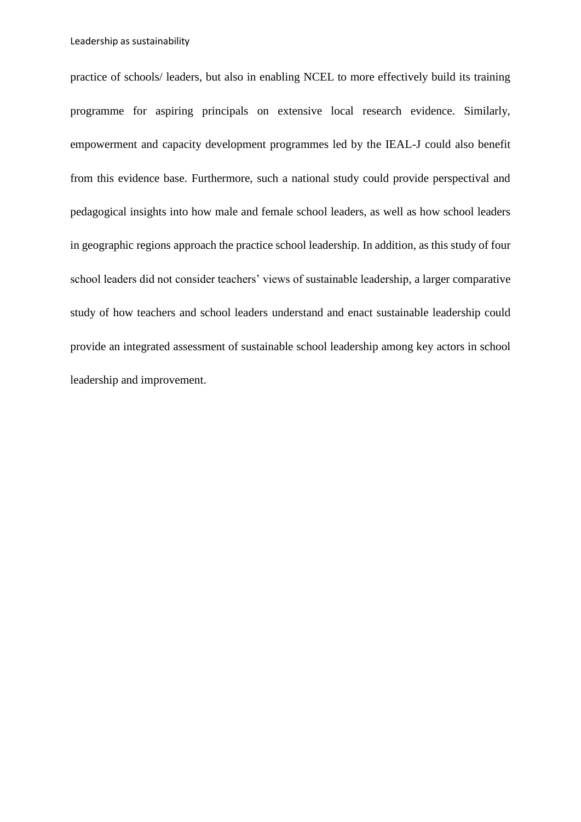practice of schools/ leaders, but also in enabling NCEL to more effectively build its training programme for aspiring principals on extensive local research evidence. Similarly, empowerment and capacity development programmes led by the IEAL-J could also benefit from this evidence base. Furthermore, such a national study could provide perspectival and pedagogical insights into how male and female school leaders, as well as how school leaders in geographic regions approach the practice school leadership. In addition, as this study of four school leaders did not consider teachers' views of sustainable leadership, a larger comparative study of how teachers and school leaders understand and enact sustainable leadership could provide an integrated assessment of sustainable school leadership among key actors in school leadership and improvement.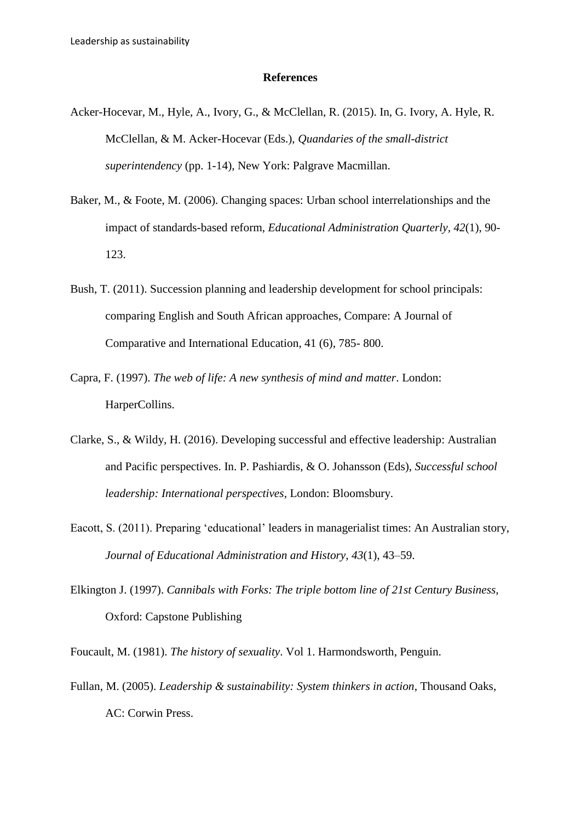#### **References**

- Acker-Hocevar, M., Hyle, A., Ivory, G., & McClellan, R. (2015). In, G. Ivory, A. Hyle, R. McClellan, & M. Acker-Hocevar (Eds.), *Quandaries of the small-district superintendency* (pp. 1-14), New York: Palgrave Macmillan.
- Baker, M., & Foote, M. (2006). Changing spaces: Urban school interrelationships and the impact of standards-based reform, *Educational Administration Quarterly, 42*(1), 90- 123.
- Bush, T. (2011). Succession planning and leadership development for school principals: comparing English and South African approaches, Compare: A Journal of Comparative and International Education, 41 (6), 785- 800.
- Capra, F. (1997). *The web of life: A new synthesis of mind and matter*. London: HarperCollins.
- Clarke, S., & Wildy, H. (2016). Developing successful and effective leadership: Australian and Pacific perspectives. In. P. Pashiardis, & O. Johansson (Eds), *Successful school leadership: International perspectives*, London: Bloomsbury.
- Eacott, S. (2011). Preparing 'educational' leaders in managerialist times: An Australian story, *Journal of Educational Administration and History*, *43*(1), 43–59.
- Elkington J. (1997). *Cannibals with Forks: The triple bottom line of 21st Century Business,*  Oxford: Capstone Publishing
- Foucault, M. (1981). *The history of sexuality*. Vol 1. Harmondsworth, Penguin.
- Fullan, M. (2005). *Leadership & sustainability: System thinkers in action*, Thousand Oaks, AC: Corwin Press.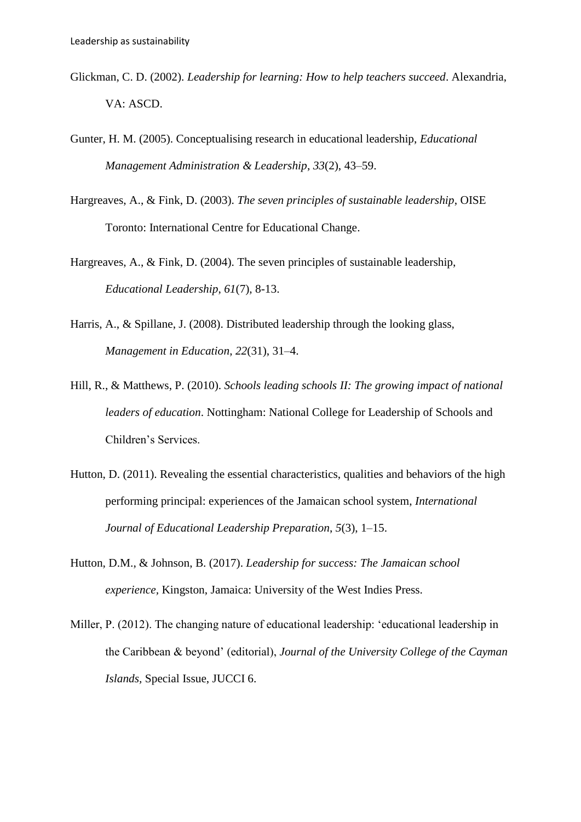- Glickman, C. D. (2002). *Leadership for learning: How to help teachers succeed*. Alexandria, VA: ASCD.
- Gunter, H. M. (2005). Conceptualising research in educational leadership, *Educational Management Administration & Leadership*, *33*(2), 43–59.
- Hargreaves, A., & Fink, D. (2003). *The seven principles of sustainable leadership*, OISE Toronto: International Centre for Educational Change.
- Hargreaves, A., & Fink, D. (2004). The seven principles of sustainable leadership, *Educational Leadership*, *61*(7), 8-13.
- Harris, A., & Spillane, J. (2008). Distributed leadership through the looking glass, *Management in Education*, *22*(31), 31–4.
- Hill, R., & Matthews, P. (2010). *Schools leading schools II: The growing impact of national leaders of education*. Nottingham: National College for Leadership of Schools and Children's Services.
- Hutton, D. (2011). Revealing the essential characteristics, qualities and behaviors of the high performing principal: experiences of the Jamaican school system, *International Journal of Educational Leadership Preparation*, *5*(3), 1–15.
- Hutton, D.M., & Johnson, B. (2017). *Leadership for success: The Jamaican school experience,* Kingston, Jamaica: University of the West Indies Press.
- Miller, P. (2012). The changing nature of educational leadership: 'educational leadership in the Caribbean & beyond' (editorial), *Journal of the University College of the Cayman Islands,* Special Issue, JUCCI 6.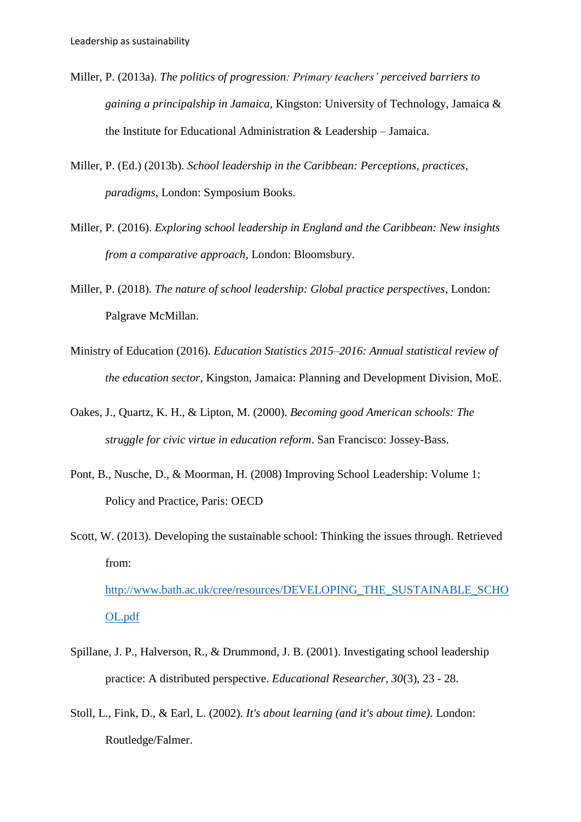- Miller, P. (2013a). *The politics of progression: Primary teachers' perceived barriers to gaining a principalship in Jamaica*, Kingston: University of Technology, Jamaica & the Institute for Educational Administration & Leadership – Jamaica.
- Miller, P. (Ed.) (2013b). *School leadership in the Caribbean: Perceptions, practices, paradigms*, London: Symposium Books.
- Miller, P. (2016). *Exploring school leadership in England and the Caribbean: New insights from a comparative approach*, London: Bloomsbury.
- Miller, P. (2018). *The nature of school leadership: Global practice perspectives*, London: Palgrave McMillan.
- Ministry of Education (2016). *Education Statistics 2015–2016: Annual statistical review of the education sector*, Kingston, Jamaica: Planning and Development Division, MoE.
- Oakes, J., Quartz, K. H., & Lipton, M. (2000). *Becoming good American schools: The struggle for civic virtue in education reform*. San Francisco: Jossey-Bass.
- Pont, B., Nusche, D., & Moorman, H. (2008) Improving School Leadership: Volume 1: Policy and Practice, Paris: OECD
- Scott, W. (2013). Developing the sustainable school: Thinking the issues through. Retrieved from: [http://www.bath.ac.uk/cree/resources/DEVELOPING\\_THE\\_SUSTAINABLE\\_SCHO](http://www.bath.ac.uk/cree/resources/DEVELOPING_THE_SUSTAINABLE_SCHOOL.pdf)

[OL.pdf](http://www.bath.ac.uk/cree/resources/DEVELOPING_THE_SUSTAINABLE_SCHOOL.pdf)

- Spillane, J. P., Halverson, R., & Drummond, J. B. (2001). Investigating school leadership practice: A distributed perspective. *Educational Researcher, 30*(3), 23 - 28.
- Stoll, L., Fink, D., & Earl, L. (2002). *It's about learning (and it's about time)*. London: Routledge/Falmer.